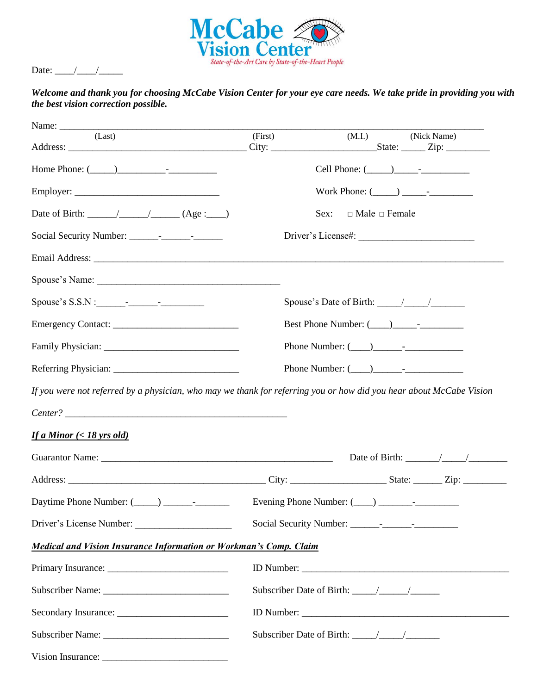

Date:  $\frac{\sqrt{2\pi}}{2\pi}$ 

#### *Welcome and thank you for choosing McCabe Vision Center for your eye care needs. We take pride in providing you with the best vision correction possible.*

| Name: $\frac{1}{\sqrt{1-\frac{1}{2}}\cdot\frac{1}{2}}$<br>the contract of the contract of the contract of the contract of the contract of |         |                                                                                                                     |  |
|-------------------------------------------------------------------------------------------------------------------------------------------|---------|---------------------------------------------------------------------------------------------------------------------|--|
| (Last)                                                                                                                                    | (First) | (M.I.)<br>(Nick Name)                                                                                               |  |
| Home Phone: $(\_\_)$                                                                                                                      |         | Cell Phone: $(\_\_)$ $\_\_$                                                                                         |  |
|                                                                                                                                           |         |                                                                                                                     |  |
|                                                                                                                                           |         | $\Box$ Male $\Box$ Female<br>Sex:                                                                                   |  |
|                                                                                                                                           |         |                                                                                                                     |  |
|                                                                                                                                           |         |                                                                                                                     |  |
| Spouse's Name:                                                                                                                            |         |                                                                                                                     |  |
|                                                                                                                                           |         | Spouse's Date of Birth: $\frac{\sqrt{2}}{2}$                                                                        |  |
|                                                                                                                                           |         |                                                                                                                     |  |
|                                                                                                                                           |         |                                                                                                                     |  |
|                                                                                                                                           |         |                                                                                                                     |  |
|                                                                                                                                           |         | If you were not referred by a physician, who may we thank for referring you or how did you hear about McCabe Vision |  |
|                                                                                                                                           |         |                                                                                                                     |  |
| <b>If a Minor</b> (< 18 yrs old)                                                                                                          |         |                                                                                                                     |  |
|                                                                                                                                           |         | Date of Birth: $\frac{\sqrt{2}}{2}$                                                                                 |  |
|                                                                                                                                           |         |                                                                                                                     |  |
| Daytime Phone Number: $(\_\_\_\_) \_\_\_\_$                                                                                               |         |                                                                                                                     |  |
|                                                                                                                                           |         |                                                                                                                     |  |
| <b>Medical and Vision Insurance Information or Workman's Comp. Claim</b>                                                                  |         |                                                                                                                     |  |
|                                                                                                                                           |         |                                                                                                                     |  |
|                                                                                                                                           |         |                                                                                                                     |  |
|                                                                                                                                           |         |                                                                                                                     |  |
|                                                                                                                                           |         |                                                                                                                     |  |
|                                                                                                                                           |         |                                                                                                                     |  |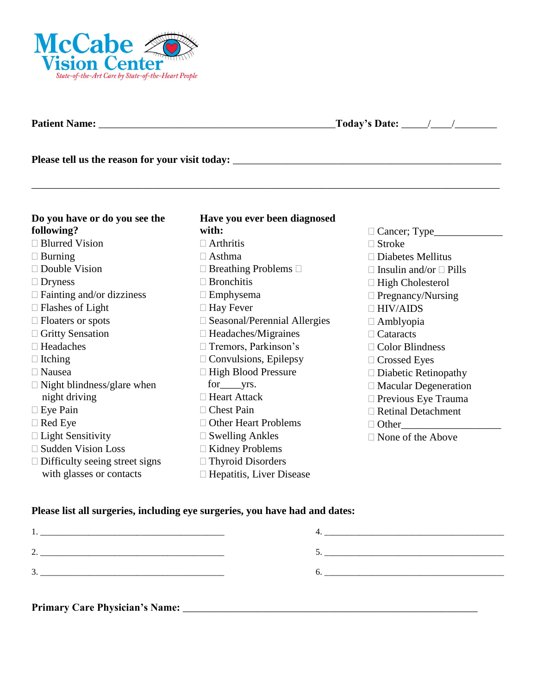

**Patient Name:** \_\_\_\_\_\_\_\_\_\_\_\_\_\_\_\_\_\_\_\_\_\_\_\_\_\_\_\_\_\_\_\_\_\_\_\_\_\_\_\_\_\_\_\_\_**Today's Date:** \_\_\_\_\_/\_\_\_\_/\_\_\_\_\_\_\_\_

**Please tell us the reason for your visit today:** \_\_\_\_\_\_\_\_\_\_\_\_\_\_\_\_\_\_\_\_\_\_\_\_\_\_\_\_\_\_\_\_\_\_\_\_\_\_\_\_\_\_\_\_\_\_\_\_\_\_\_

| Do you have or do you see the         | Have you ever been diagnosed           |                                    |
|---------------------------------------|----------------------------------------|------------------------------------|
| following?                            | with:                                  | $\Box$ Cancer; Type $\_\_\_\_\_\$  |
| $\Box$ Blurred Vision                 | $\Box$ Arthritis                       | $\Box$ Stroke                      |
| $\Box$ Burning                        | $\Box$ Asthma                          | $\Box$ Diabetes Mellitus           |
| $\Box$ Double Vision                  | $\Box$ Breathing Problems $\Box$       | $\Box$ Insulin and/or $\Box$ Pills |
| $\Box$ Dryness                        | $\Box$ Bronchitis                      | $\Box$ High Cholesterol            |
| $\Box$ Fainting and/or dizziness      | $\Box$ Emphysema                       | $\Box$ Pregnancy/Nursing           |
| $\Box$ Flashes of Light               | $\Box$ Hay Fever                       | $\Box$ HIV/AIDS                    |
| $\Box$ Floaters or spots              | $\square$ Seasonal/Perennial Allergies | $\Box$ Amblyopia                   |
| □ Gritty Sensation                    | $\Box$ Headaches/Migraines             | $\Box$ Cataracts                   |
| $\Box$ Headaches                      | $\Box$ Tremors, Parkinson's            | $\Box$ Color Blindness             |
| $\Box$ Itching                        | $\Box$ Convulsions, Epilepsy           | $\Box$ Crossed Eyes                |
| $\Box$ Nausea                         | □ High Blood Pressure                  | $\Box$ Diabetic Retinopathy        |
| $\Box$ Night blindness/glare when     |                                        | $\Box$ Macular Degeneration        |
| night driving                         | $\Box$ Heart Attack                    | $\Box$ Previous Eye Trauma         |
| $\Box$ Eye Pain                       | $\Box$ Chest Pain                      | $\Box$ Retinal Detachment          |
| $\Box$ Red Eye                        | $\Box$ Other Heart Problems            | $\Box$ Other                       |
| $\Box$ Light Sensitivity              | $\Box$ Swelling Ankles                 | $\Box$ None of the Above           |
| □ Sudden Vision Loss                  | $\Box$ Kidney Problems                 |                                    |
| $\Box$ Difficulty seeing street signs | □ Thyroid Disorders                    |                                    |
| with glasses or contacts              | $\Box$ Hepatitis, Liver Disease        |                                    |

\_\_\_\_\_\_\_\_\_\_\_\_\_\_\_\_\_\_\_\_\_\_\_\_\_\_\_\_\_\_\_\_\_\_\_\_\_\_\_\_\_\_\_\_\_\_\_\_\_\_\_\_\_\_\_\_\_\_\_\_\_\_\_\_\_\_\_\_\_\_\_\_\_\_\_\_\_\_\_\_\_\_\_\_\_\_\_\_\_

# **Please list all surgeries, including eye surgeries, you have had and dates:**

| -<br>______              |  |
|--------------------------|--|
| $\overline{\phantom{a}}$ |  |
|                          |  |

**Primary Care Physician's Name:** \_\_\_\_\_\_\_\_\_\_\_\_\_\_\_\_\_\_\_\_\_\_\_\_\_\_\_\_\_\_\_\_\_\_\_\_\_\_\_\_\_\_\_\_\_\_\_\_\_\_\_\_\_\_\_\_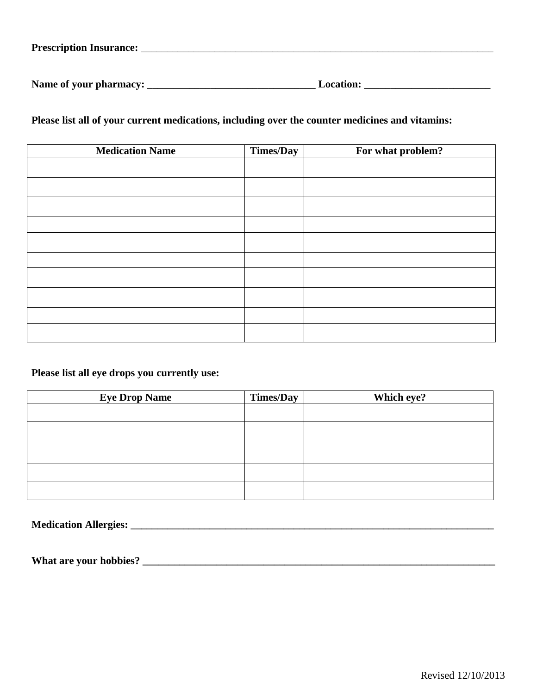| <b>Prescription Insurance:</b> |  |
|--------------------------------|--|
|                                |  |

**Name of your pharmacy:** \_\_\_\_\_\_\_\_\_\_\_\_\_\_\_\_\_\_\_\_\_\_\_\_\_\_\_\_\_\_\_\_ **Location:** \_\_\_\_\_\_\_\_\_\_\_\_\_\_\_\_\_\_\_\_\_\_\_\_

**Please list all of your current medications, including over the counter medicines and vitamins:**

| <b>Medication Name</b> | Times/Day | For what problem? |
|------------------------|-----------|-------------------|
|                        |           |                   |
|                        |           |                   |
|                        |           |                   |
|                        |           |                   |
|                        |           |                   |
|                        |           |                   |
|                        |           |                   |
|                        |           |                   |
|                        |           |                   |
|                        |           |                   |
|                        |           |                   |
|                        |           |                   |
|                        |           |                   |
|                        |           |                   |
|                        |           |                   |
|                        |           |                   |

# **Please list all eye drops you currently use:**

| <b>Eye Drop Name</b> | <b>Times/Day</b> | Which eye? |
|----------------------|------------------|------------|
|                      |                  |            |
|                      |                  |            |
|                      |                  |            |
|                      |                  |            |
|                      |                  |            |

**Medication Allergies: \_\_\_\_\_\_\_\_\_\_\_\_\_\_\_\_\_\_\_\_\_\_\_\_\_\_\_\_\_\_\_\_\_\_\_\_\_\_\_\_\_\_\_\_\_\_\_\_\_\_\_\_\_\_\_\_\_\_\_\_\_\_\_\_\_\_\_\_\_**

**What are your hobbies? \_\_\_\_\_\_\_\_\_\_\_\_\_\_\_\_\_\_\_\_\_\_\_\_\_\_\_\_\_\_\_\_\_\_\_\_\_\_\_\_\_\_\_\_\_\_\_\_\_\_\_\_\_\_\_\_\_\_\_\_\_\_\_\_\_\_\_**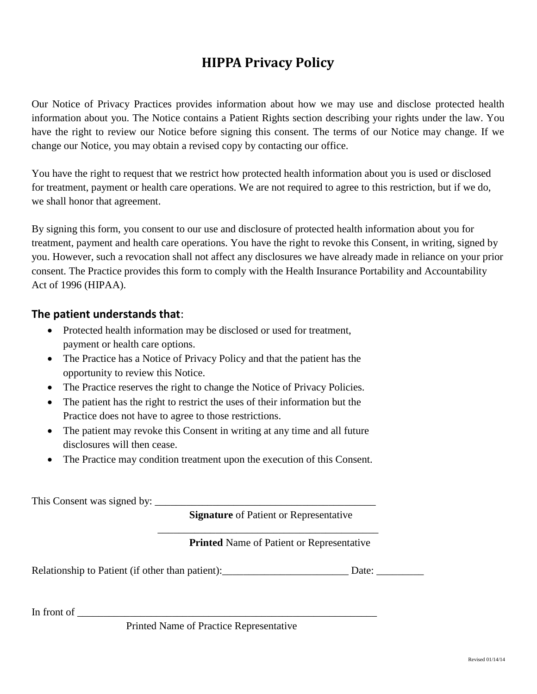# **HIPPA Privacy Policy**

Our Notice of Privacy Practices provides information about how we may use and disclose protected health information about you. The Notice contains a Patient Rights section describing your rights under the law. You have the right to review our Notice before signing this consent. The terms of our Notice may change. If we change our Notice, you may obtain a revised copy by contacting our office.

You have the right to request that we restrict how protected health information about you is used or disclosed for treatment, payment or health care operations. We are not required to agree to this restriction, but if we do, we shall honor that agreement.

By signing this form, you consent to our use and disclosure of protected health information about you for treatment, payment and health care operations. You have the right to revoke this Consent, in writing, signed by you. However, such a revocation shall not affect any disclosures we have already made in reliance on your prior consent. The Practice provides this form to comply with the Health Insurance Portability and Accountability Act of 1996 (HIPAA).

# **The patient understands that**:

- Protected health information may be disclosed or used for treatment, payment or health care options.
- The Practice has a Notice of Privacy Policy and that the patient has the opportunity to review this Notice.
- The Practice reserves the right to change the Notice of Privacy Policies.
- The patient has the right to restrict the uses of their information but the Practice does not have to agree to those restrictions.
- The patient may revoke this Consent in writing at any time and all future disclosures will then cease.
- The Practice may condition treatment upon the execution of this Consent.

This Consent was signed by: \_\_\_\_\_\_\_\_\_\_\_\_\_\_\_\_\_\_\_\_\_\_\_\_\_\_\_\_\_\_\_\_\_\_\_\_\_\_\_\_\_\_

**Signature** of Patient or Representative

 $\overline{\phantom{a}}$  ,  $\overline{\phantom{a}}$  ,  $\overline{\phantom{a}}$  ,  $\overline{\phantom{a}}$  ,  $\overline{\phantom{a}}$  ,  $\overline{\phantom{a}}$  ,  $\overline{\phantom{a}}$  ,  $\overline{\phantom{a}}$  ,  $\overline{\phantom{a}}$  ,  $\overline{\phantom{a}}$  ,  $\overline{\phantom{a}}$  ,  $\overline{\phantom{a}}$  ,  $\overline{\phantom{a}}$  ,  $\overline{\phantom{a}}$  ,  $\overline{\phantom{a}}$  ,  $\overline{\phantom{a}}$ 

### **Printed** Name of Patient or Representative

Relationship to Patient (if other than patient): Date: Date:

In front of

Printed Name of Practice Representative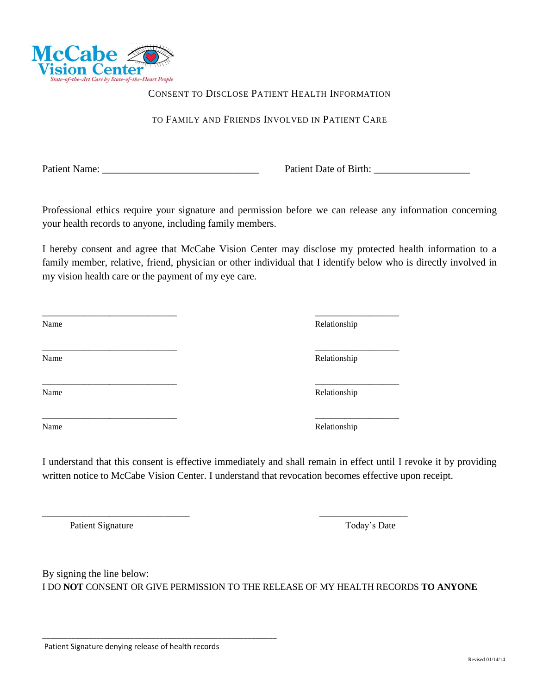

#### CONSENT TO DISCLOSE PATIENT HEALTH INFORMATION

#### TO FAMILY AND FRIENDS INVOLVED IN PATIENT CARE

Patient Name: \_\_\_\_\_\_\_\_\_\_\_\_\_\_\_\_\_\_\_\_\_\_\_\_\_\_\_\_\_\_\_ Patient Date of Birth: \_\_\_\_\_\_\_\_\_\_\_\_\_\_\_\_\_\_\_

Professional ethics require your signature and permission before we can release any information concerning your health records to anyone, including family members.

I hereby consent and agree that McCabe Vision Center may disclose my protected health information to a family member, relative, friend, physician or other individual that I identify below who is directly involved in my vision health care or the payment of my eye care.

\_\_\_\_\_\_\_\_\_\_\_\_\_\_\_\_\_\_\_\_\_\_\_\_\_\_\_\_\_\_\_\_ \_\_\_\_\_\_\_\_\_\_\_\_\_\_\_\_\_\_\_\_

\_\_\_\_\_\_\_\_\_\_\_\_\_\_\_\_\_\_\_\_\_\_\_\_\_\_\_\_\_\_\_\_ \_\_\_\_\_\_\_\_\_\_\_\_\_\_\_\_\_\_\_\_

\_\_\_\_\_\_\_\_\_\_\_\_\_\_\_\_\_\_\_\_\_\_\_\_\_\_\_\_\_\_\_\_\_\_\_ \_\_\_\_\_\_\_\_\_\_\_\_\_\_\_\_\_\_\_\_\_

| Name | Relationship |
|------|--------------|
|      |              |
| Name | Relationship |

Relationship

Relationship

\_\_\_\_\_\_\_\_\_\_\_\_\_\_\_\_\_\_\_\_\_\_\_\_\_\_\_\_\_\_\_\_ \_\_\_\_\_\_\_\_\_\_\_\_\_\_\_\_\_\_\_\_ Name Relationship

Name Relationship

I understand that this consent is effective immediately and shall remain in effect until I revoke it by providing written notice to McCabe Vision Center. I understand that revocation becomes effective upon receipt.

Patient Signature Today's Date

By signing the line below: I DO **NOT** CONSENT OR GIVE PERMISSION TO THE RELEASE OF MY HEALTH RECORDS **TO ANYONE**

\_\_\_\_\_\_\_\_\_\_\_\_\_\_\_\_\_\_\_\_\_\_\_\_\_\_\_\_\_\_\_\_\_\_\_\_\_\_\_\_\_\_\_\_\_\_\_\_\_\_\_\_\_\_\_\_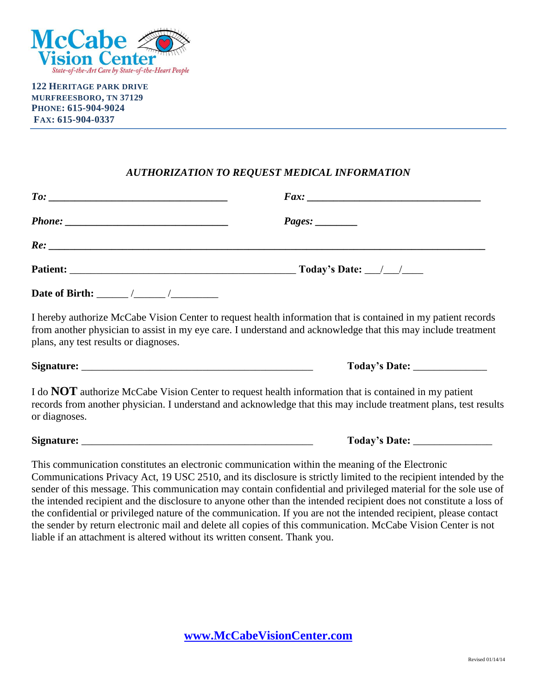

**122 HERITAGE PARK DRIVE MURFREESBORO, TN 37129 PHONE: 615-904-9024 FAX: 615-904-0337**

# *AUTHORIZATION TO REQUEST MEDICAL INFORMATION*

| <b>Date of Birth:</b> / / / |  |
|-----------------------------|--|

I hereby authorize McCabe Vision Center to request health information that is contained in my patient records from another physician to assist in my eye care. I understand and acknowledge that this may include treatment plans, any test results or diagnoses.

**Signature:** \_\_\_\_\_\_\_\_\_\_\_\_\_\_\_\_\_\_\_\_\_\_\_\_\_\_\_\_\_\_\_\_\_\_\_\_\_\_\_\_\_\_\_\_ **Today's Date:** \_\_\_\_\_\_\_\_\_\_\_\_\_\_

I do **NOT** authorize McCabe Vision Center to request health information that is contained in my patient records from another physician. I understand and acknowledge that this may include treatment plans, test results or diagnoses.

**Signature:** \_\_\_\_\_\_\_\_\_\_\_\_\_\_\_\_\_\_\_\_\_\_\_\_\_\_\_\_\_\_\_\_\_\_\_\_\_\_\_\_\_\_\_\_ **Today's Date:** \_\_\_\_\_\_\_\_\_\_\_\_\_\_\_

This communication constitutes an electronic communication within the meaning of the Electronic Communications Privacy Act, 19 USC 2510, and its disclosure is strictly limited to the recipient intended by the sender of this message. This communication may contain confidential and privileged material for the sole use of the intended recipient and the disclosure to anyone other than the intended recipient does not constitute a loss of the confidential or privileged nature of the communication. If you are not the intended recipient, please contact the sender by return electronic mail and delete all copies of this communication. McCabe Vision Center is not liable if an attachment is altered without its written consent. Thank you.